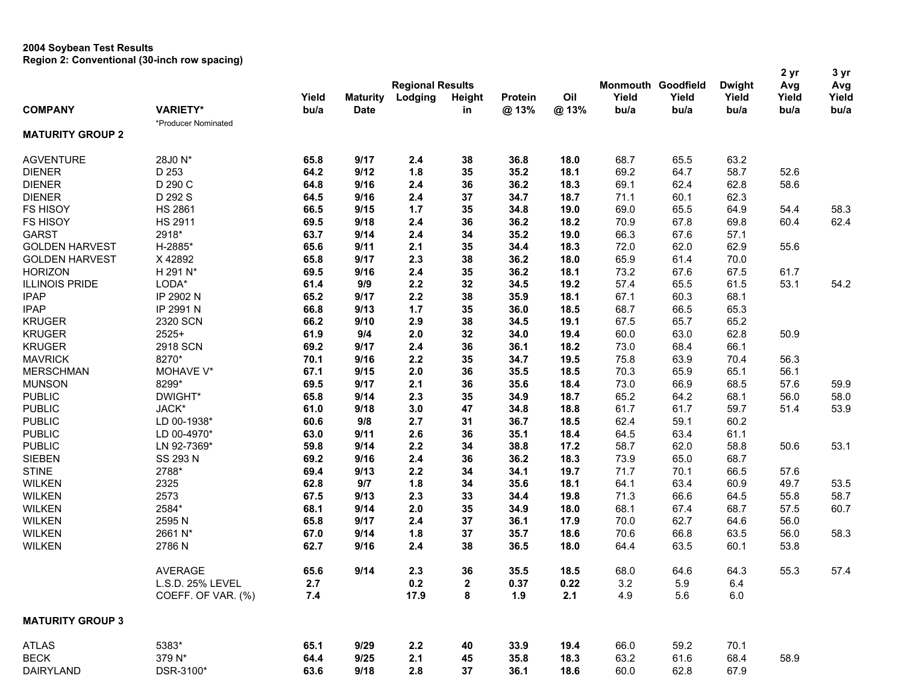## **2004 Soybean Test Results Region 2: Conventional (30-inch row spacing)**

|                         |                     |       |                 |                         |               |         |      |       |                           |               | 2 yr  | 3 yr  |
|-------------------------|---------------------|-------|-----------------|-------------------------|---------------|---------|------|-------|---------------------------|---------------|-------|-------|
|                         |                     |       |                 | <b>Regional Results</b> |               |         |      |       | <b>Monmouth Goodfield</b> | <b>Dwight</b> | Avg   | Avg   |
|                         |                     | Yield | <b>Maturity</b> | Lodging                 | <b>Height</b> | Protein | Oil  | Yield | Yield                     | Yield         | Yield | Yield |
| <b>COMPANY</b>          | <b>VARIETY*</b>     | bu/a  | <b>Date</b>     |                         | in            | @13%    | @13% | bu/a  | bu/a                      | bu/a          | bu/a  | bu/a  |
|                         | *Producer Nominated |       |                 |                         |               |         |      |       |                           |               |       |       |
| <b>MATURITY GROUP 2</b> |                     |       |                 |                         |               |         |      |       |                           |               |       |       |
| <b>AGVENTURE</b>        | 28J0 N*             | 65.8  | 9/17            | 2.4                     | 38            | 36.8    | 18.0 | 68.7  | 65.5                      | 63.2          |       |       |
| <b>DIENER</b>           | D 253               | 64.2  | 9/12            | 1.8                     | 35            | 35.2    | 18.1 | 69.2  | 64.7                      | 58.7          | 52.6  |       |
| <b>DIENER</b>           | D 290 C             | 64.8  | 9/16            | 2.4                     | 36            | 36.2    | 18.3 | 69.1  | 62.4                      | 62.8          | 58.6  |       |
| <b>DIENER</b>           | D 292 S             | 64.5  | 9/16            | 2.4                     | 37            | 34.7    | 18.7 | 71.1  | 60.1                      | 62.3          |       |       |
| <b>FS HISOY</b>         | <b>HS 2861</b>      | 66.5  | 9/15            | 1.7                     | 35            | 34.8    | 19.0 | 69.0  | 65.5                      | 64.9          | 54.4  | 58.3  |
| <b>FS HISOY</b>         | <b>HS 2911</b>      | 69.5  | 9/18            | 2.4                     | 36            | 36.2    | 18.2 | 70.9  | 67.8                      | 69.8          | 60.4  | 62.4  |
| <b>GARST</b>            | 2918*               | 63.7  | 9/14            | 2.4                     | 34            | 35.2    | 19.0 | 66.3  | 67.6                      | 57.1          |       |       |
| <b>GOLDEN HARVEST</b>   | H-2885*             | 65.6  | 9/11            | 2.1                     | 35            | 34.4    | 18.3 | 72.0  | 62.0                      | 62.9          | 55.6  |       |
| <b>GOLDEN HARVEST</b>   | X 42892             | 65.8  | 9/17            | 2.3                     | 38            | 36.2    | 18.0 | 65.9  | 61.4                      | 70.0          |       |       |
| <b>HORIZON</b>          | H 291 N*            | 69.5  | 9/16            | 2.4                     | 35            | 36.2    | 18.1 | 73.2  | 67.6                      | 67.5          | 61.7  |       |
| <b>ILLINOIS PRIDE</b>   | LODA*               | 61.4  | 9/9             | 2.2                     | 32            | 34.5    | 19.2 | 57.4  | 65.5                      | 61.5          | 53.1  | 54.2  |
| <b>IPAP</b>             | IP 2902 N           | 65.2  | 9/17            | 2.2                     | 38            | 35.9    | 18.1 | 67.1  | 60.3                      | 68.1          |       |       |
| <b>IPAP</b>             | IP 2991 N           | 66.8  | 9/13            | 1.7                     | 35            | 36.0    | 18.5 | 68.7  | 66.5                      | 65.3          |       |       |
| <b>KRUGER</b>           | 2320 SCN            | 66.2  | 9/10            | 2.9                     | 38            | 34.5    | 19.1 | 67.5  | 65.7                      | 65.2          |       |       |
| <b>KRUGER</b>           | $2525+$             | 61.9  | 9/4             | 2.0                     | 32            | 34.0    | 19.4 | 60.0  | 63.0                      | 62.8          | 50.9  |       |
| <b>KRUGER</b>           | 2918 SCN            | 69.2  | 9/17            | 2.4                     | 36            | 36.1    | 18.2 | 73.0  | 68.4                      | 66.1          |       |       |
| <b>MAVRICK</b>          | 8270*               | 70.1  | 9/16            | 2.2                     | 35            | 34.7    | 19.5 | 75.8  | 63.9                      | 70.4          | 56.3  |       |
| <b>MERSCHMAN</b>        | MOHAVE V*           | 67.1  | 9/15            | 2.0                     | 36            | 35.5    | 18.5 | 70.3  | 65.9                      | 65.1          | 56.1  |       |
| <b>MUNSON</b>           | 8299*               | 69.5  | 9/17            | 2.1                     | 36            | 35.6    | 18.4 | 73.0  | 66.9                      | 68.5          | 57.6  | 59.9  |
| <b>PUBLIC</b>           | DWIGHT*             | 65.8  | 9/14            | 2.3                     | 35            | 34.9    | 18.7 | 65.2  | 64.2                      | 68.1          | 56.0  | 58.0  |
| <b>PUBLIC</b>           | JACK*               | 61.0  | 9/18            | 3.0                     | 47            | 34.8    | 18.8 | 61.7  | 61.7                      | 59.7          | 51.4  | 53.9  |
| <b>PUBLIC</b>           | LD 00-1938*         | 60.6  | 9/8             | 2.7                     | 31            | 36.7    | 18.5 | 62.4  | 59.1                      | 60.2          |       |       |
| <b>PUBLIC</b>           | LD 00-4970*         | 63.0  | 9/11            | 2.6                     | 36            | 35.1    | 18.4 | 64.5  | 63.4                      | 61.1          |       |       |
| <b>PUBLIC</b>           | LN 92-7369*         | 59.8  | 9/14            | 2.2                     | 34            | 38.8    | 17.2 | 58.7  | 62.0                      | 58.8          | 50.6  | 53.1  |
| <b>SIEBEN</b>           | SS 293 N            | 69.2  | 9/16            | 2.4                     | 36            | 36.2    | 18.3 | 73.9  | 65.0                      | 68.7          |       |       |
| <b>STINE</b>            | 2788*               | 69.4  | 9/13            | 2.2                     | 34            | 34.1    | 19.7 | 71.7  | 70.1                      | 66.5          | 57.6  |       |
| <b>WILKEN</b>           | 2325                | 62.8  | 9/7             | 1.8                     | 34            | 35.6    | 18.1 | 64.1  | 63.4                      | 60.9          | 49.7  | 53.5  |
| <b>WILKEN</b>           | 2573                | 67.5  | 9/13            | 2.3                     | 33            | 34.4    | 19.8 | 71.3  | 66.6                      | 64.5          | 55.8  | 58.7  |
| <b>WILKEN</b>           | 2584*               | 68.1  | 9/14            | 2.0                     | 35            | 34.9    | 18.0 | 68.1  | 67.4                      | 68.7          | 57.5  | 60.7  |
| <b>WILKEN</b>           | 2595N               | 65.8  | 9/17            | 2.4                     | 37            | 36.1    | 17.9 | 70.0  | 62.7                      | 64.6          | 56.0  |       |
| <b>WILKEN</b>           | 2661 N*             | 67.0  | 9/14            | 1.8                     | 37            | 35.7    | 18.6 | 70.6  | 66.8                      | 63.5          | 56.0  | 58.3  |
| <b>WILKEN</b>           | 2786N               | 62.7  | 9/16            | 2.4                     | 38            | 36.5    | 18.0 | 64.4  | 63.5                      | 60.1          | 53.8  |       |
|                         | <b>AVERAGE</b>      | 65.6  | 9/14            | 2.3                     | 36            | 35.5    | 18.5 | 68.0  | 64.6                      | 64.3          | 55.3  | 57.4  |
|                         | L.S.D. 25% LEVEL    | 2.7   |                 | 0.2                     | $\mathbf 2$   | 0.37    | 0.22 | 3.2   | 5.9                       | 6.4           |       |       |
|                         | COEFF. OF VAR. (%)  | 7.4   |                 | 17.9                    | 8             | 1.9     | 2.1  | 4.9   | 5.6                       | $6.0\,$       |       |       |
| <b>MATURITY GROUP 3</b> |                     |       |                 |                         |               |         |      |       |                           |               |       |       |
| <b>ATLAS</b>            | 5383*               | 65.1  | 9/29            | 2.2                     | 40            | 33.9    | 19.4 | 66.0  | 59.2                      | 70.1          |       |       |
| <b>BECK</b>             | 379 N*              | 64.4  | 9/25            | 2.1                     | 45            | 35.8    | 18.3 | 63.2  | 61.6                      | 68.4          | 58.9  |       |
| DAIRYLAND               | DSR-3100*           | 63.6  | 9/18            | 2.8                     | 37            | 36.1    | 18.6 | 60.0  | 62.8                      | 67.9          |       |       |